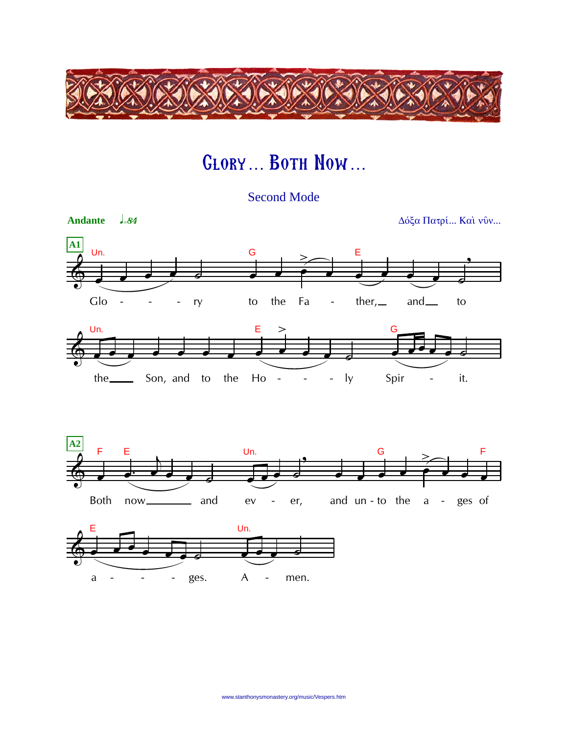

## **GLORY... BOTH NOW...**

**Second Mode** 

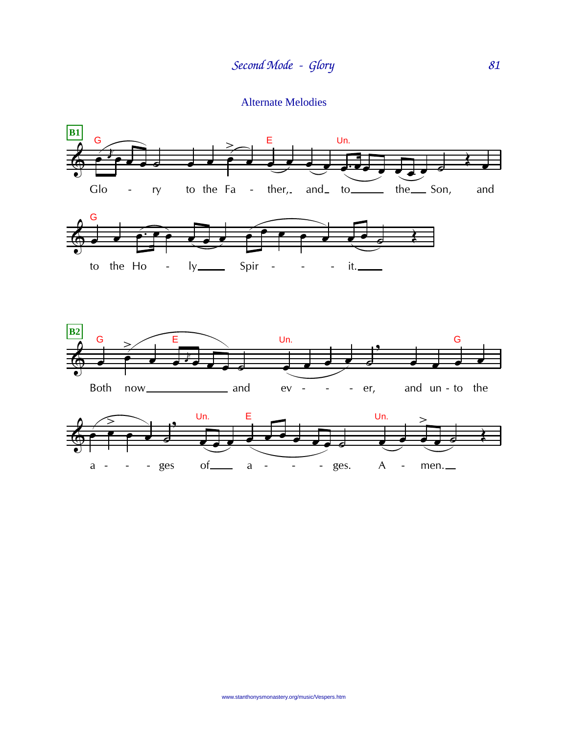